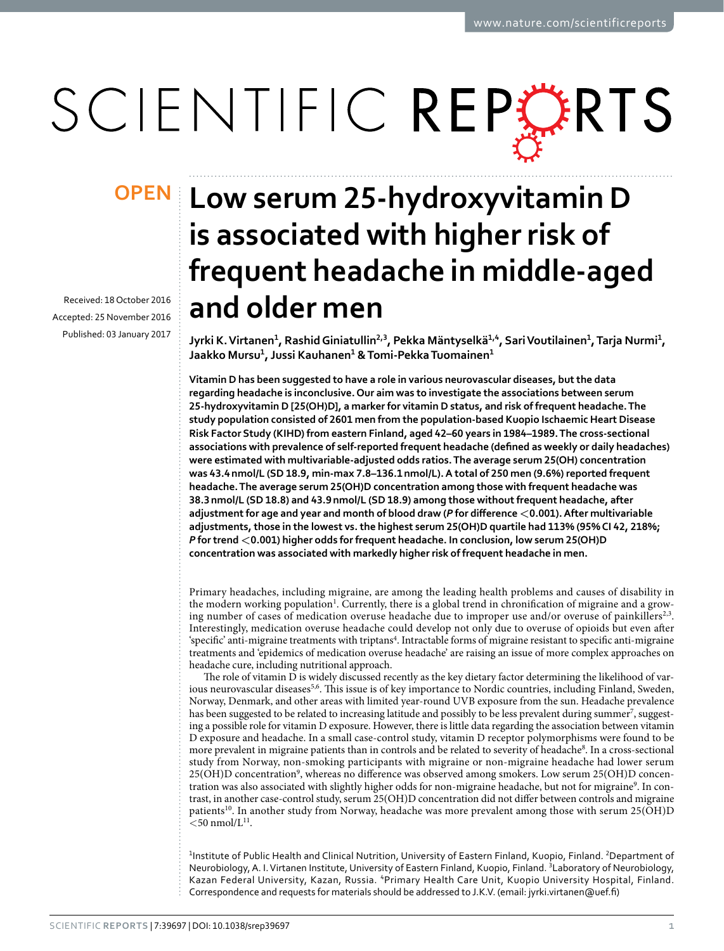# SCIENTIFIC REPERTS

Received: 18 October 2016 accepted: 25 November 2016 Published: 03 January 2017

## **Low serum 25-hydroxyvitamin D OPENis associated with higher risk of frequent headache in middle-aged and older men**

**Jyrki K.Virtanen1, RashidGiniatullin2,3, Pekka Mäntyselkä1,4, SariVoutilainen1, Tarja Nurmi1, Jaakko Mursu1, Jussi Kauhanen1 & Tomi-PekkaTuomainen1**

**Vitamin D has been suggested to have a role in various neurovascular diseases, but the data regarding headache is inconclusive. Our aim was to investigate the associations between serum 25-hydroxyvitamin D [25(OH)D], a marker for vitamin D status, and risk of frequent headache. The study population consisted of 2601 men from the population-based Kuopio Ischaemic Heart Disease Risk Factor Study (KIHD) from eastern Finland, aged 42–60 years in 1984–1989. The cross-sectional associations with prevalence of self-reported frequent headache (defined as weekly or daily headaches) were estimated with multivariable-adjusted odds ratios. The average serum 25(OH) concentration was 43.4nmol/L (SD 18.9, min-max 7.8–136.1nmol/L). A total of 250 men (9.6%) reported frequent headache. The average serum 25(OH)D concentration among those with frequent headache was 38.3nmol/L (SD 18.8) and 43.9nmol/L (SD 18.9) among those without frequent headache, after adjustment for age and year and month of blood draw (***P* **for difference <0.001). After multivariable adjustments, those in the lowest vs. the highest serum 25(OH)D quartile had 113% (95% CI 42, 218%;**  *P* **for trend <0.001) higher odds for frequent headache. In conclusion, low serum 25(OH)D concentration was associated with markedly higher risk of frequent headache in men.**

Primary headaches, including migraine, are among the leading health problems and causes of disability in the modern working population<sup>[1](#page-3-0)</sup>. Currently, there is a global trend in chronification of migraine and a growing number of cases of medication overuse headache due to improper use and/or overuse of painkillers<sup>2,3</sup>. Interestingly, medication overuse headache could develop not only due to overuse of opioids but even after 'specific' anti-migraine treatments with triptans<sup>[4](#page-3-3)</sup>. Intractable forms of migraine resistant to specific anti-migraine treatments and 'epidemics of medication overuse headache' are raising an issue of more complex approaches on headache cure, including nutritional approach.

The role of vitamin D is widely discussed recently as the key dietary factor determining the likelihood of var-ious neurovascular diseases<sup>[5,](#page-3-4)6</sup>. This issue is of key importance to Nordic countries, including Finland, Sweden, Norway, Denmark, and other areas with limited year-round UVB exposure from the sun. Headache prevalence has been suggested to be related to increasing latitude and possibly to be less prevalent during summer<sup>[7](#page-3-6)</sup>, suggesting a possible role for vitamin D exposure. However, there is little data regarding the association between vitamin D exposure and headache. In a small case-control study, vitamin D receptor polymorphisms were found to be more prevalent in migraine patients than in controls and be related to severity of headache<sup>[8](#page-3-7)</sup>. In a cross-sectional study from Norway, non-smoking participants with migraine or non-migraine headache had lower serum 25(OH)D concentration<sup>[9](#page-3-8)</sup>, whereas no difference was observed among smokers. Low serum 25(OH)D concentration was also associated with slightly higher odds for non-migraine headache, but not for migraine<sup>9</sup>. In contrast, in another case-control study, serum 25(OH)D concentration did not differ between controls and migraine patients[10.](#page-3-9) In another study from Norway, headache was more prevalent among those with serum 25(OH)D  $<$  50 nmol/L $^{11}$ .

<sup>1</sup>Institute of Public Health and Clinical Nutrition, University of Eastern Finland, Kuopio, Finland. <sup>2</sup>Department of Neurobiology, A. I. Virtanen Institute, University of Eastern Finland, Kuopio, Finland. <sup>3</sup>Laboratory of Neurobiology, Kazan Federal University, Kazan, Russia. <sup>4</sup>Primary Health Care Unit, Kuopio University Hospital, Finland. Correspondence and requests for materials should be addressed to J.K.V. (email: [jyrki.virtanen@uef.fi](mailto:jyrki.virtanen@uef.fi))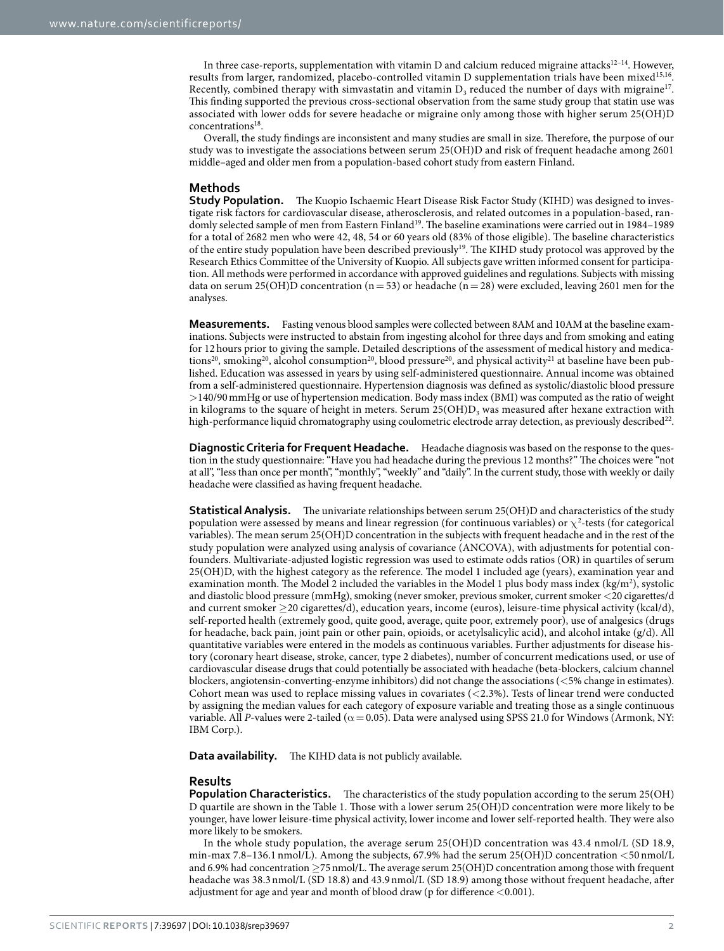In three case-reports, supplementation with vitamin D and calcium reduced migraine attacks $12^{-14}$ . However, results from larger, randomized, placebo-controlled vitamin D supplementation trials have been mixed<sup>[15](#page-3-12),16</sup>. Recently, combined therapy with simvastatin and vitamin  $D_3$  reduced the number of days with migraine<sup>17</sup>. This finding supported the previous cross-sectional observation from the same study group that statin use was associated with lower odds for severe headache or migraine only among those with higher serum 25(OH)D concentrations<sup>18</sup>.

Overall, the study findings are inconsistent and many studies are small in size. Therefore, the purpose of our study was to investigate the associations between serum 25(OH)D and risk of frequent headache among 2601 middle–aged and older men from a population-based cohort study from eastern Finland.

### **Methods**

**Study Population.** The Kuopio Ischaemic Heart Disease Risk Factor Study (KIHD) was designed to investigate risk factors for cardiovascular disease, atherosclerosis, and related outcomes in a population-based, randomly selected sample of men from Eastern Finland<sup>19</sup>. The baseline examinations were carried out in 1984–1989 for a total of 2682 men who were 42, 48, 54 or 60 years old (83% of those eligible). The baseline characteristics of the entire study population have been described previousl[y19.](#page-3-16) The KIHD study protocol was approved by the Research Ethics Committee of the University of Kuopio. All subjects gave written informed consent for participation. All methods were performed in accordance with approved guidelines and regulations. Subjects with missing data on serum 25(OH)D concentration ( $n = 53$ ) or headache ( $n = 28$ ) were excluded, leaving 2601 men for the analyses.

**Measurements.** Fasting venous blood samples were collected between 8AM and 10AM at the baseline examinations. Subjects were instructed to abstain from ingesting alcohol for three days and from smoking and eating for 12 hours prior to giving the sample. Detailed descriptions of the assessment of medical history and medica-tions<sup>20</sup>, smoking<sup>20</sup>, alcohol consumption<sup>20</sup>, blood pressure<sup>20</sup>, and physical activity<sup>[21](#page-3-18)</sup> at baseline have been published. Education was assessed in years by using self-administered questionnaire. Annual income was obtained from a self-administered questionnaire. Hypertension diagnosis was defined as systolic/diastolic blood pressure >140/90mmHg or use of hypertension medication. Body mass index (BMI) was computed as the ratio of weight in kilograms to the square of height in meters. Serum  $25(OH)D<sub>3</sub>$  was measured after hexane extraction with high-performance liquid chromatography using coulometric electrode array detection, as previously described<sup>22</sup>.

**Diagnostic Criteria for Frequent Headache.** Headache diagnosis was based on the response to the question in the study questionnaire: "Have you had headache during the previous 12 months?" The choices were "not at all", "less than once per month", "monthly", "weekly" and "daily". In the current study, those with weekly or daily headache were classified as having frequent headache.

**Statistical Analysis.** The univariate relationships between serum 25(OH)D and characteristics of the study population were assessed by means and linear regression (for continuous variables) or  $\chi^2$ -tests (for categorical variables). The mean serum 25(OH)D concentration in the subjects with frequent headache and in the rest of the study population were analyzed using analysis of covariance (ANCOVA), with adjustments for potential confounders. Multivariate-adjusted logistic regression was used to estimate odds ratios (OR) in quartiles of serum 25(OH)D, with the highest category as the reference. The model 1 included age (years), examination year and examination month. The Model 2 included the variables in the Model 1 plus body mass index  $(kg/m^2)$ , systolic and diastolic blood pressure (mmHg), smoking (never smoker, previous smoker, current smoker <20 cigarettes/d and current smoker ≥20 cigarettes/d), education years, income (euros), leisure-time physical activity (kcal/d), self-reported health (extremely good, quite good, average, quite poor, extremely poor), use of analgesics (drugs for headache, back pain, joint pain or other pain, opioids, or acetylsalicylic acid), and alcohol intake (g/d). All quantitative variables were entered in the models as continuous variables. Further adjustments for disease history (coronary heart disease, stroke, cancer, type 2 diabetes), number of concurrent medications used, or use of cardiovascular disease drugs that could potentially be associated with headache (beta-blockers, calcium channel blockers, angiotensin-converting-enzyme inhibitors) did not change the associations (<5% change in estimates). Cohort mean was used to replace missing values in covariates (<2.3%). Tests of linear trend were conducted by assigning the median values for each category of exposure variable and treating those as a single continuous variable. All *P*-values were 2-tailed (α = 0.05). Data were analysed using SPSS 21.0 for Windows (Armonk, NY: IBM Corp.).

**Data availability.** The KIHD data is not publicly available.

#### **Results**

**Population Characteristics.** The characteristics of the study population according to the serum 25(OH) D quartile are shown in the [Table 1.](#page-2-0) Those with a lower serum 25(OH)D concentration were more likely to be younger, have lower leisure-time physical activity, lower income and lower self-reported health. They were also more likely to be smokers.

In the whole study population, the average serum 25(OH)D concentration was 43.4 nmol/L (SD 18.9, min-max 7.8–136.1 nmol/L). Among the subjects, 67.9% had the serum 25(OH)D concentration <50 nmol/L and 6.9% had concentration ≥75nmol/L. The average serum 25(OH)D concentration among those with frequent headache was 38.3nmol/L (SD 18.8) and 43.9nmol/L (SD 18.9) among those without frequent headache, after adjustment for age and year and month of blood draw (p for difference <0.001).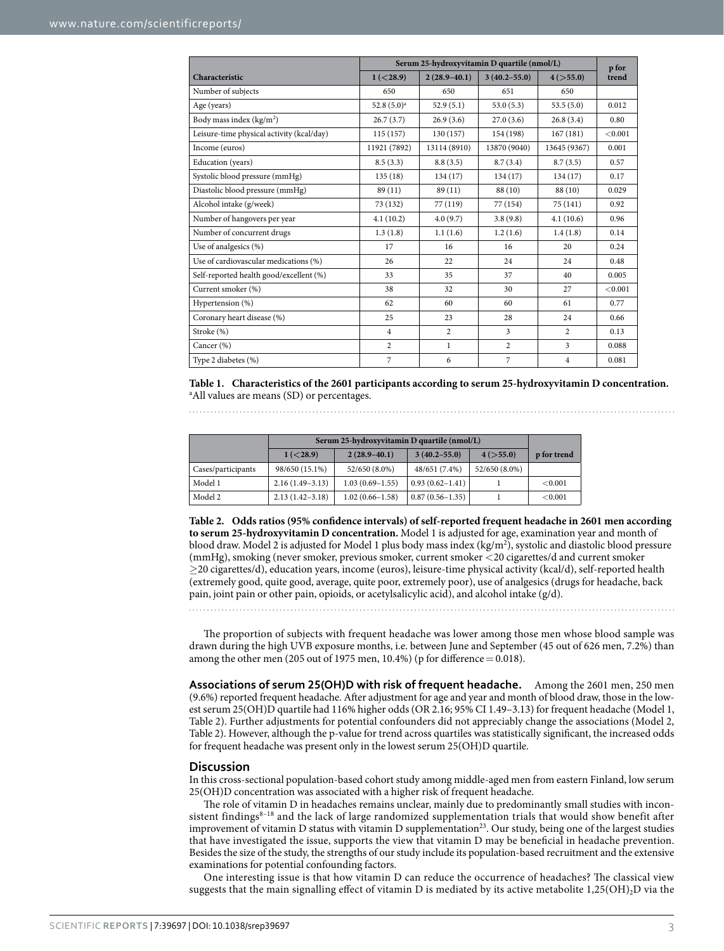<span id="page-2-0"></span>

|                                           | Serum 25-hydroxyvitamin D quartile (nmol/L) |                  |                  |                |                |
|-------------------------------------------|---------------------------------------------|------------------|------------------|----------------|----------------|
| Characteristic                            | 1 (< 28.9)                                  | $2(28.9 - 40.1)$ | $3(40.2 - 55.0)$ | 4 ( > 55.0)    | p for<br>trend |
| Number of subjects                        | 650                                         | 650              | 651              | 650            |                |
| Age (years)                               | 52.8 $(5.0)^a$                              | 52.9(5.1)        | 53.0(5.3)        | 53.5(5.0)      | 0.012          |
| Body mass index $(kg/m2)$                 | 26.7(3.7)                                   | 26.9(3.6)        | 27.0(3.6)        | 26.8(3.4)      | 0.80           |
| Leisure-time physical activity (kcal/day) | 115 (157)                                   | 130 (157)        | 154 (198)        | 167(181)       | < 0.001        |
| Income (euros)                            | 11921 (7892)                                | 13114 (8910)     | 13870 (9040)     | 13645 (9367)   | 0.001          |
| Education (years)                         | 8.5(3.3)                                    | 8.8(3.5)         | 8.7(3.4)         | 8.7(3.5)       | 0.57           |
| Systolic blood pressure (mmHg)            | 135(18)                                     | 134(17)          | 134 (17)         | 134 (17)       | 0.17           |
| Diastolic blood pressure (mmHg)           | 89 (11)                                     | 89(11)           | 88 (10)          | 88 (10)        | 0.029          |
| Alcohol intake (g/week)                   | 73 (132)                                    | 77 (119)         | 77 (154)         | 75 (141)       | 0.92           |
| Number of hangovers per year              | 4.1(10.2)                                   | 4.0(9.7)         | 3.8(9.8)         | 4.1(10.6)      | 0.96           |
| Number of concurrent drugs                | 1.3(1.8)                                    | 1.1(1.6)         | 1.2(1.6)         | 1.4(1.8)       | 0.14           |
| Use of analgesics (%)                     | 17                                          | 16               | 16               | 20             | 0.24           |
| Use of cardiovascular medications (%)     | 26                                          | 22               | 24               | 24             | 0.48           |
| Self-reported health good/excellent (%)   | 33                                          | 35               | 37               | 40             | 0.005          |
| Current smoker (%)                        | 38                                          | 32               | 30               | 27             | < 0.001        |
| Hypertension (%)                          | 62                                          | 60               | 60               | 61             | 0.77           |
| Coronary heart disease (%)                | 25                                          | 23               | 28               | 24             | 0.66           |
| Stroke (%)                                | $\overline{4}$                              | $\overline{2}$   | 3                | $\overline{2}$ | 0.13           |
| Cancer (%)                                | $\overline{c}$                              | $\mathbf{1}$     | $\overline{2}$   | $\overline{3}$ | 0.088          |
| Type 2 diabetes (%)                       | $\overline{7}$                              | 6                | $\overline{7}$   | $\overline{4}$ | 0.081          |

**Table 1. Characteristics of the 2601 participants according to serum 25-hydroxyvitamin D concentration.** a All values are means (SD) or percentages.

<span id="page-2-1"></span>

|                    | Serum 25-hydroxyvitamin D quartile (nmol/L) |                     |                     |               |             |
|--------------------|---------------------------------------------|---------------------|---------------------|---------------|-------------|
|                    | 1 (< 28.9)                                  | $2(28.9-40.1)$      | $3(40.2 - 55.0)$    | 4 ( > 55.0)   | p for trend |
| Cases/participants | 98/650 (15.1%)                              | 52/650 (8.0%)       | 48/651 (7.4%)       | 52/650 (8.0%) |             |
| Model 1            | $2.16(1.49-3.13)$                           | $1.03(0.69 - 1.55)$ | $0.93(0.62 - 1.41)$ |               | ${<}0.001$  |
| Model 2            | $2.13(1.42 - 3.18)$                         | $1.02(0.66 - 1.58)$ | $0.87(0.56 - 1.35)$ |               | ${<}0.001$  |

**Table 2. Odds ratios (95% confidence intervals) of self-reported frequent headache in 2601 men according to serum 25-hydroxyvitamin D concentration.** Model 1 is adjusted for age, examination year and month of blood draw. Model 2 is adjusted for Model 1 plus body mass index (kg/m2 ), systolic and diastolic blood pressure (mmHg), smoking (never smoker, previous smoker, current smoker <20 cigarettes/d and current smoker ≥20 cigarettes/d), education years, income (euros), leisure-time physical activity (kcal/d), self-reported health (extremely good, quite good, average, quite poor, extremely poor), use of analgesics (drugs for headache, back pain, joint pain or other pain, opioids, or acetylsalicylic acid), and alcohol intake (g/d).

The proportion of subjects with frequent headache was lower among those men whose blood sample was drawn during the high UVB exposure months, i.e. between June and September (45 out of 626 men, 7.2%) than among the other men (205 out of 1975 men,  $10.4\%$ ) (p for difference = 0.018).

**Associations of serum 25(OH)D with risk of frequent headache.** Among the 2601 men, 250 men (9.6%) reported frequent headache. After adjustment for age and year and month of blood draw, those in the lowest serum 25(OH)D quartile had 116% higher odds (OR 2.16; 95% CI 1.49–3.13) for frequent headache (Model 1, [Table 2\)](#page-2-1). Further adjustments for potential confounders did not appreciably change the associations (Model 2, [Table 2\)](#page-2-1). However, although the p-value for trend across quartiles was statistically significant, the increased odds for frequent headache was present only in the lowest serum 25(OH)D quartile.

#### **Discussion**

In this cross-sectional population-based cohort study among middle-aged men from eastern Finland, low serum 25(OH)D concentration was associated with a higher risk of frequent headache.

The role of vitamin D in headaches remains unclear, mainly due to predominantly small studies with inconsistent findings<sup>8–18</sup> and the lack of large randomized supplementation trials that would show benefit after improvement of vitamin D status with vitamin D supplementation<sup>23</sup>. Our study, being one of the largest studies that have investigated the issue, supports the view that vitamin D may be beneficial in headache prevention. Besides the size of the study, the strengths of our study include its population-based recruitment and the extensive examinations for potential confounding factors.

One interesting issue is that how vitamin D can reduce the occurrence of headaches? The classical view suggests that the main signalling effect of vitamin D is mediated by its active metabolite  $1,25(OH)_2D$  via the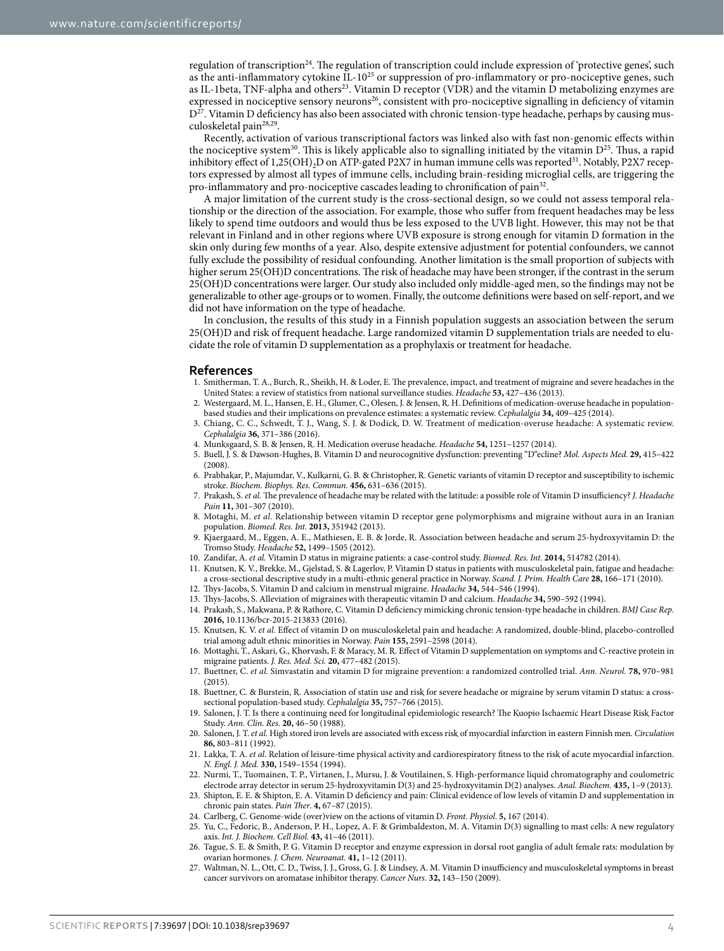regulation of transcriptio[n24.](#page-3-21) The regulation of transcription could include expression of 'protective genes', such as the anti-inflammatory cytokine  $IL-10^{25}$  or suppression of pro-inflammatory or pro-nociceptive genes, such as IL-1beta, TNF-alpha and others<sup>23</sup>. Vitamin D receptor (VDR) and the vitamin D metabolizing enzymes are expressed in nociceptive sensory neurons<sup>[26](#page-3-23)</sup>, consistent with pro-nociceptive signalling in deficiency of vitamin  $D^{27}$ . Vitamin D deficiency has also been associated with chronic tension-type headache, perhaps by causing mus-culoskeletal pain<sup>[28](#page-4-0),[29](#page-4-1)</sup>.

Recently, activation of various transcriptional factors was linked also with fast non-genomic effects within the nociceptive system<sup>30</sup>. This is likely applicable also to signalling initiated by the vitamin  $D^{25}$ . Thus, a rapid inhibitory effect of 1,25(OH)<sub>2</sub>D on ATP-gated P2X7 in human immune cells was reported<sup>[31](#page-4-3)</sup>. Notably, P2X7 receptors expressed by almost all types of immune cells, including brain-residing microglial cells, are triggering the pro-inflammatory and pro-nociceptive cascades leading to chronification of pain<sup>[32](#page-4-4)</sup>.

A major limitation of the current study is the cross-sectional design, so we could not assess temporal relationship or the direction of the association. For example, those who suffer from frequent headaches may be less likely to spend time outdoors and would thus be less exposed to the UVB light. However, this may not be that relevant in Finland and in other regions where UVB exposure is strong enough for vitamin D formation in the skin only during few months of a year. Also, despite extensive adjustment for potential confounders, we cannot fully exclude the possibility of residual confounding. Another limitation is the small proportion of subjects with higher serum 25(OH)D concentrations. The risk of headache may have been stronger, if the contrast in the serum 25(OH)D concentrations were larger. Our study also included only middle-aged men, so the findings may not be generalizable to other age-groups or to women. Finally, the outcome definitions were based on self-report, and we did not have information on the type of headache.

In conclusion, the results of this study in a Finnish population suggests an association between the serum 25(OH)D and risk of frequent headache. Large randomized vitamin D supplementation trials are needed to elucidate the role of vitamin D supplementation as a prophylaxis or treatment for headache.

#### **References**

- <span id="page-3-0"></span>1. Smitherman, T. A., Burch, R., Sheikh, H. & Loder, E. The prevalence, impact, and treatment of migraine and severe headaches in the United States: a review of statistics from national surveillance studies. *Headache* **53,** 427–436 (2013).
- <span id="page-3-1"></span>2. Westergaard, M. L., Hansen, E. H., Glumer, C., Olesen, J. & Jensen, R. H. Definitions of medication-overuse headache in populationbased studies and their implications on prevalence estimates: a systematic review. *Cephalalgia* **34,** 409–425 (2014).
- <span id="page-3-2"></span>3. Chiang, C. C., Schwedt, T. J., Wang, S. J. & Dodick, D. W. Treatment of medication-overuse headache: A systematic review. *Cephalalgia* **36,** 371–386 (2016).
- <span id="page-3-3"></span>4. Munksgaard, S. B. & Jensen, R. H. Medication overuse headache. *Headache* **54,** 1251–1257 (2014).
- <span id="page-3-4"></span>5. Buell, J. S. & Dawson-Hughes, B. Vitamin D and neurocognitive dysfunction: preventing "D"ecline? *Mol. Aspects Med.* **29,** 415–422 (2008).
- <span id="page-3-5"></span>6. Prabhakar, P., Majumdar, V., Kulkarni, G. B. & Christopher, R. Genetic variants of vitamin D receptor and susceptibility to ischemic stroke. *Biochem. Biophys. Res. Commun.* **456,** 631–636 (2015).
- <span id="page-3-6"></span>7. Prakash, S. *et al.* The prevalence of headache may be related with the latitude: a possible role of Vitamin D insufficiency? *J. Headache Pain* **11,** 301–307 (2010).
- <span id="page-3-7"></span>8. Motaghi, M. *et al.* Relationship between vitamin D receptor gene polymorphisms and migraine without aura in an Iranian population. *Biomed. Res. Int.* **2013,** 351942 (2013).
- <span id="page-3-8"></span>9. Kjaergaard, M., Eggen, A. E., Mathiesen, E. B. & Jorde, R. Association between headache and serum 25-hydroxyvitamin D: the Tromso Study. *Headache* **52,** 1499–1505 (2012).
- <span id="page-3-10"></span><span id="page-3-9"></span>10. Zandifar, A. *et al.* Vitamin D status in migraine patients: a case-control study. *Biomed. Res. Int*. **2014,** 514782 (2014).
- 11. Knutsen, K. V., Brekke, M., Gjelstad, S. & Lagerlov, P. Vitamin D status in patients with musculoskeletal pain, fatigue and headache: a cross-sectional descriptive study in a multi-ethnic general practice in Norway. *Scand. J. Prim. Health Care* **28,** 166–171 (2010).
- <span id="page-3-11"></span>12. Thys-Jacobs, S. Vitamin D and calcium in menstrual migraine. *Headache* **34,** 544–546 (1994).
- 13. Thys-Jacobs, S. Alleviation of migraines with therapeutic vitamin D and calcium. *Headache* **34,** 590–592 (1994).
- 14. Prakash, S., Makwana, P. & Rathore, C. Vitamin D deficiency mimicking chronic tension-type headache in children. *BMJ Case Rep*. **2016,** 10.1136/bcr-2015-213833 (2016).
- <span id="page-3-12"></span>15. Knutsen, K. V. *et al.* Effect of vitamin D on musculoskeletal pain and headache: A randomized, double-blind, placebo-controlled trial among adult ethnic minorities in Norway. *Pain* **155,** 2591–2598 (2014).
- <span id="page-3-13"></span>16. Mottaghi, T., Askari, G., Khorvash, F. & Maracy, M. R. Effect of Vitamin D supplementation on symptoms and C-reactive protein in migraine patients. *J. Res. Med. Sci.* **20,** 477–482 (2015).
- <span id="page-3-14"></span>17. Buettner, C. *et al.* Simvastatin and vitamin D for migraine prevention: a randomized controlled trial. *Ann. Neurol.* **78,** 970–981 (2015).
- <span id="page-3-15"></span>18. Buettner, C. & Burstein, R. Association of statin use and risk for severe headache or migraine by serum vitamin D status: a crosssectional population-based study. *Cephalalgia* **35,** 757–766 (2015).
- <span id="page-3-16"></span>19. Salonen, J. T. Is there a continuing need for longitudinal epidemiologic research? The Kuopio Ischaemic Heart Disease Risk Factor Study. *Ann. Clin. Res.* **20,** 46–50 (1988).
- <span id="page-3-17"></span>20. Salonen, J. T. *et al.* High stored iron levels are associated with excess risk of myocardial infarction in eastern Finnish men. *Circulation* **86,** 803–811 (1992).
- <span id="page-3-18"></span>21. Lakka, T. A. *et al.* Relation of leisure-time physical activity and cardiorespiratory fitness to the risk of acute myocardial infarction. *N. Engl. J. Med.* **330,** 1549–1554 (1994).
- <span id="page-3-19"></span>22. Nurmi, T., Tuomainen, T. P., Virtanen, J., Mursu, J. & Voutilainen, S. High-performance liquid chromatography and coulometric electrode array detector in serum 25-hydroxyvitamin D(3) and 25-hydroxyvitamin D(2) analyses. *Anal. Biochem.* **435,** 1–9 (2013).
- <span id="page-3-20"></span>23. Shipton, E. E. & Shipton, E. A. Vitamin D deficiency and pain: Clinical evidence of low levels of vitamin D and supplementation in chronic pain states. *Pain Ther*. **4,** 67–87 (2015).
- <span id="page-3-22"></span><span id="page-3-21"></span>24. Carlberg, C. Genome-wide (over)view on the actions of vitamin D. *Front. Physiol*. **5,** 167 (2014).
- 25. Yu, C., Fedoric, B., Anderson, P. H., Lopez, A. F. & Grimbaldeston, M. A. Vitamin D(3) signalling to mast cells: A new regulatory axis. *Int. J. Biochem. Cell Biol.* **43,** 41–46 (2011).
- <span id="page-3-23"></span>26. Tague, S. E. & Smith, P. G. Vitamin D receptor and enzyme expression in dorsal root ganglia of adult female rats: modulation by ovarian hormones. *J. Chem. Neuroanat.* **41,** 1–12 (2011).
- <span id="page-3-24"></span>27. Waltman, N. L., Ott, C. D., Twiss, J. J., Gross, G. J. & Lindsey, A. M. Vitamin D insufficiency and musculoskeletal symptoms in breast cancer survivors on aromatase inhibitor therapy. *Cancer Nurs.* **32,** 143–150 (2009).